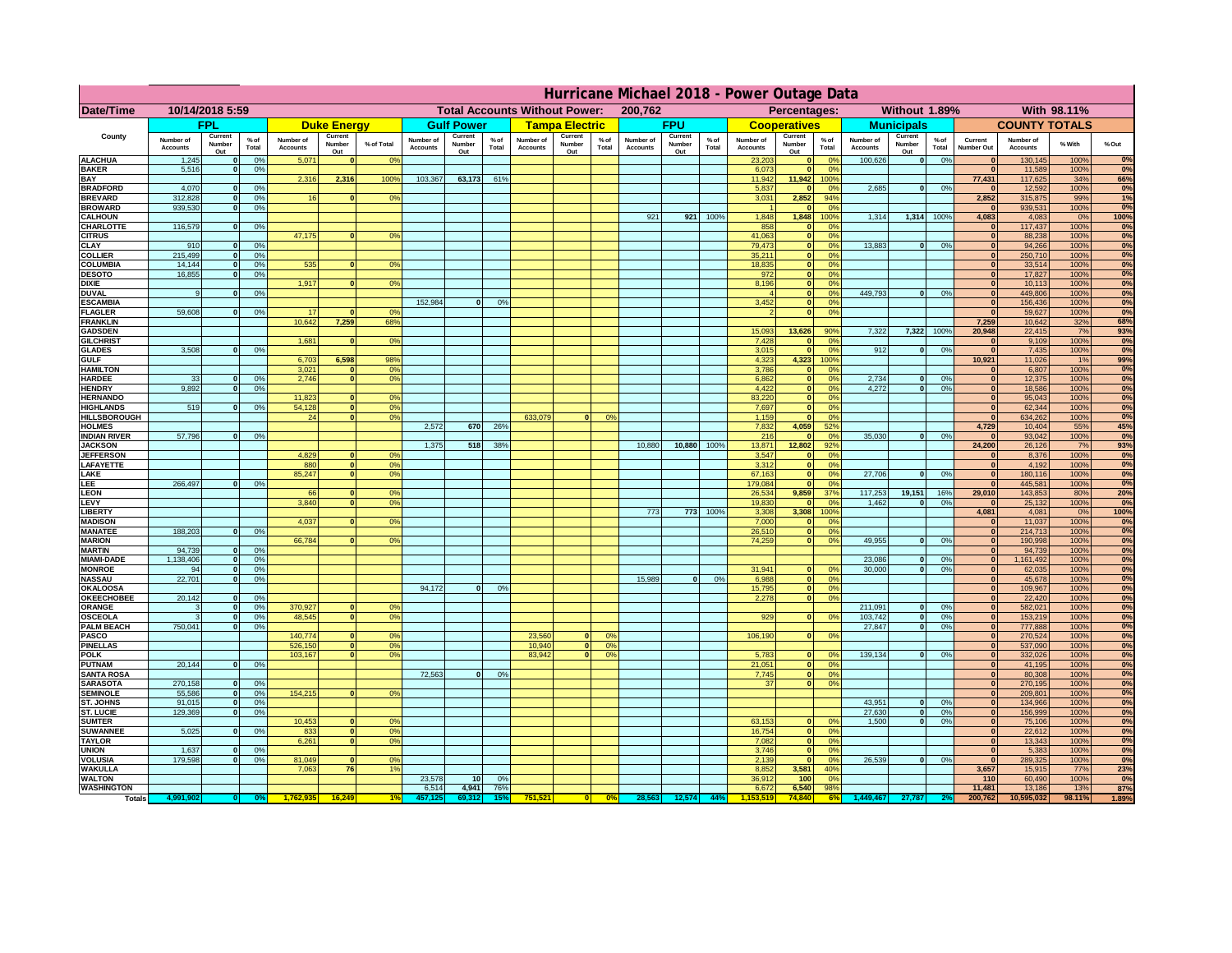|                                       | Hurricane Michael 2018 - Power Outage Data |                          |               |                       |                          |            |                       |                          |                 |                                      |                          |                |                              |                          |               |                              |                              |                        |                       |                          |                 |                              |                       |              |                   |
|---------------------------------------|--------------------------------------------|--------------------------|---------------|-----------------------|--------------------------|------------|-----------------------|--------------------------|-----------------|--------------------------------------|--------------------------|----------------|------------------------------|--------------------------|---------------|------------------------------|------------------------------|------------------------|-----------------------|--------------------------|-----------------|------------------------------|-----------------------|--------------|-------------------|
| <b>Date/Time</b>                      |                                            | 10/14/2018 5:59          |               |                       |                          |            |                       |                          |                 | <b>Total Accounts Without Power:</b> |                          |                | 200,762                      |                          |               |                              | Percentages:                 |                        |                       | Without 1.89%            |                 |                              |                       | With 98.11%  |                   |
|                                       |                                            | <b>FPL</b>               |               |                       | <b>Duke Energy</b>       |            |                       | <b>Gulf Power</b>        |                 |                                      | <b>Tampa Electric</b>    |                |                              | <b>FPU</b>               |               |                              | <b>Cooperatives</b>          |                        |                       | <b>Municipals</b>        |                 |                              | <b>COUNTY TOTALS</b>  |              |                   |
| County                                | Number of<br><b>Accounts</b>               | Current<br>Number<br>Out | % of<br>Total | Number of<br>Accounts | Current<br>Number<br>Out | % of Total | Number of<br>Accounts | Current<br>Number<br>Out | $%$ of<br>Total | Number of<br><b>Accounts</b>         | Current<br>Number<br>Out | % of<br>Total  | Number of<br><b>Accounts</b> | Current<br>Number<br>Out | % of<br>Total | Number of<br><b>Accounts</b> | Current<br>Number<br>Out     | $%$ of<br>Total        | Number of<br>Accounts | Current<br>Number<br>Out | $%$ of<br>Total | Current<br>Number Out        | Number of<br>Accounts | % With       | % Out             |
| <b>ALACHUA</b>                        | 1,245                                      | 0                        | 0%            | 5,071                 | 0                        | 0%         |                       |                          |                 |                                      |                          |                |                              |                          |               | 23,203                       | $\mathbf{0}$                 | 0 <sup>9</sup>         | 100,626               | 0                        | 0%              |                              | 130,145               | 100%         | 0%                |
| <b>BAKER</b><br><b>BAY</b>            | 5,516                                      | 0                        | 0%            | 2,316                 | 2,316                    | 100%       | 103,367               | 63,173                   | 61%             |                                      |                          |                |                              |                          |               | 6,073<br>11,942              | $\mathbf{0}$<br>11,942       | 0 <sup>9</sup><br>100% |                       |                          |                 | $\mathbf{r}$<br>77,431       | 11,589<br>117,625     | 100%<br>34%  | 0%<br>66%         |
| <b>BRADFORD</b>                       | 4,070                                      | 0                        | 0%            |                       |                          |            |                       |                          |                 |                                      |                          |                |                              |                          |               | 5,837                        | $\mathbf{0}$                 | 0%                     | 2,685                 | 0                        | 0%              |                              | 12,592                | 100%         | $0\%$             |
| <b>BREVARD</b>                        | 312,828                                    | 0                        | 0%            | 16                    | $\Omega$                 | 0%         |                       |                          |                 |                                      |                          |                |                              |                          |               | 3,031                        | 2,852                        | 94%                    |                       |                          |                 | 2,852                        | 315,875               | 99%          | 1%                |
| <b>BROWARD</b><br><b>CALHOUN</b>      | 939.530                                    | 0                        | 0%            |                       |                          |            |                       |                          |                 |                                      |                          |                | 921                          | 921                      | 100%          | 1,848                        | o<br>1,848                   | 0 <sup>9</sup><br>100% | 1,314                 | 1,314                    | 100%            | 4,083                        | 939,531<br>4,083      | 100%<br>0%   | 0%<br>100%        |
| <b>CHARLOTTE</b>                      | 116,579                                    | 0                        | 0%            |                       |                          |            |                       |                          |                 |                                      |                          |                |                              |                          |               | 858                          | $\mathbf{0}$                 | 0%                     |                       |                          |                 | $\mathbf{0}$                 | 117,437               | 100%         | 0%                |
| <b>CITRUS</b>                         |                                            |                          |               | 47,175                | $\mathbf{0}$             | 0%         |                       |                          |                 |                                      |                          |                |                              |                          |               | 41,063                       | $\mathbf{0}$                 | 0 <sup>9</sup>         |                       |                          |                 |                              | 88,238                | 100%         | $\frac{0\%}{0\%}$ |
| <b>CLAY</b><br><b>COLLIER</b>         | 910<br>215,499                             | $\overline{0}$<br> 0     | 0%<br>0%      |                       |                          |            |                       |                          |                 |                                      |                          |                |                              |                          |               | 79,473<br>35,211             | $\mathbf{0}$<br>$\mathbf{0}$ | 0%<br>0 <sup>9</sup>   | 13,883                | $\mathbf{0}$             | 0%              | $\mathbf{0}$                 | 94,266<br>250,710     | 100%<br>100% |                   |
| <b>COLUMBIA</b>                       | 14,144                                     | 0                        | 0%            | 535                   | $\mathbf{0}$             | 0%         |                       |                          |                 |                                      |                          |                |                              |                          |               | 18,835                       | $\mathbf{0}$                 | 0%                     |                       |                          |                 |                              | 33,514                | 100%         | $\frac{0\%}{0\%}$ |
| <b>DESOTO</b>                         | 16,855                                     | 0                        | 0%            |                       |                          |            |                       |                          |                 |                                      |                          |                |                              |                          |               | 972                          | $\mathbf{0}$                 | 0 <sup>9</sup>         |                       |                          |                 |                              | 17,827                | 100%         |                   |
| <b>DIXIE</b><br><b>DUVAL</b>          | -9                                         | 0                        | 0%            | 1,917                 | $\mathbf{0}$             | 0%         |                       |                          |                 |                                      |                          |                |                              |                          |               | 8,196                        | $\mathbf{0}$<br>$\mathbf{0}$ | 0 <sup>9</sup><br>0%   | 449,793               | 0                        | 0%              | $\mathbf{0}$                 | 10,113<br>449,806     | 100%<br>100% | $\frac{0\%}{0\%}$ |
| <b>ESCAMBIA</b>                       |                                            |                          |               |                       |                          |            | 152.984               | $\mathbf{0}$             | 0%              |                                      |                          |                |                              |                          |               | 3,452                        | $\mathbf{0}$                 | 0%                     |                       |                          |                 | $\mathbf{0}$                 | 156,436               | 100%         |                   |
| <b>FLAGLER</b>                        | 59,608                                     | $\overline{0}$           | 0%            | 17                    |                          | 0%         |                       |                          |                 |                                      |                          |                |                              |                          |               |                              | $\mathbf{0}$                 | 0%                     |                       |                          |                 | - 0                          | 59,627                | 100%         | 0%                |
| <b>FRANKLIN</b><br><b>GADSDEN</b>     |                                            |                          |               | 10,642                | 7,259                    | 68%        |                       |                          |                 |                                      |                          |                |                              |                          |               | 15,093                       | 13,626                       | 90%                    | 7,322                 | 7,322                    | 100%            | 7,259<br>20,948              | 10,642<br>22,415      | 32%<br>7%    | 68%<br>93%        |
| <b>GILCHRIST</b>                      |                                            |                          |               | 1,681                 | $\Omega$                 | 0%         |                       |                          |                 |                                      |                          |                |                              |                          |               | 7,428                        | $\mathbf{0}$                 | 0 <sup>9</sup>         |                       |                          |                 | $\mathbf{0}$                 | 9,109                 | 100%         | 0%                |
| <b>GLADES</b>                         | 3.508                                      | $\overline{\bullet}$     | 0%            |                       |                          |            |                       |                          |                 |                                      |                          |                |                              |                          |               | 3,015                        | $\overline{0}$               | 0%                     | 912                   | 0                        | 0%              | $\mathbf{0}$                 | 7,435                 | 100%         | 0%                |
| <b>GULF</b><br><b>HAMILTON</b>        |                                            |                          |               | 6,703<br>3,021        | 6,598<br>$\mathbf{0}$    | 98%<br>0%  |                       |                          |                 |                                      |                          |                |                              |                          |               | 4,323<br>3,786               | 4,323<br>$\mathbf{0}$        | 100%<br>0%             |                       |                          |                 | 10,921<br>$\mathbf{0}$       | 11,026<br>6,807       | 1%<br>100%   | 99%<br>0%         |
| <b>HARDEE</b>                         | 33                                         | 0                        | 0%            | 2,746                 | $\overline{0}$           | 0%         |                       |                          |                 |                                      |                          |                |                              |                          |               | 6,862                        | $\mathbf{0}$                 | 0%                     | 2,734                 | $\Omega$                 | 0%              | $\mathbf{0}$                 | 12,375                | 100%         | $0\%$             |
| <b>HENDRY</b>                         | 9,892                                      | $\overline{0}$           | 0%            |                       |                          |            |                       |                          |                 |                                      |                          |                |                              |                          |               | 4,422                        | $\mathbf{0}$                 | 0%                     | 4,272                 | $\mathbf{0}$             | 0%              | $\sqrt{2}$                   | 18,586                | 100%         | 0%                |
| <b>HERNANDO</b><br><b>HIGHLANDS</b>   | 519                                        | $\overline{0}$           | 0%            | 11,823<br>54,128      | 0 <br>$\overline{0}$     | 0%<br>0%   |                       |                          |                 |                                      |                          |                |                              |                          |               | 83,220<br>7,697              | $\mathbf{0}$<br>$\sqrt{2}$   | 0%<br>0%               |                       |                          |                 | $\sqrt{ }$<br>$\sqrt{2}$     | 95,043<br>62,344      | 100%<br>100% | 0%<br>0%          |
| <b>HILLSBOROUGH</b>                   |                                            |                          |               | 24                    | 0                        | 0%         |                       |                          |                 | 633,079                              | $\mathbf{a}$             | 0%             |                              |                          |               | 1,159                        | $\mathbf{0}$                 | 0%                     |                       |                          |                 | $\sqrt{ }$                   | 634,262               | 100%         | 0%                |
| <b>HOLMES</b>                         |                                            |                          |               |                       |                          |            | 2.572                 | 670                      | 26%             |                                      |                          |                |                              |                          |               | 7,832                        | 4,059                        | 52%                    |                       |                          |                 | 4,729                        | 10,404                | 55%          | 45%               |
| <b>INDIAN RIVER</b><br><b>JACKSON</b> | 57,796                                     | 0                        | 0%            |                       |                          |            | 1.375                 | 518                      | 38%             |                                      |                          |                | 10,880                       | 10.880                   | 100%          | 216<br>13,871                | $\mathbf{0}$<br>12,802       | 0%<br>92%              | 35,030                | $\overline{0}$           | 0%              | $\mathbf{0}$<br>24,200       | 93,042<br>26,126      | 100%<br>7%   | 0%<br>93%         |
| <b>JEFFERSON</b>                      |                                            |                          |               | 4,829                 | $\mathbf{0}$             | 0%         |                       |                          |                 |                                      |                          |                |                              |                          |               | 3,547                        | $\mathbf{0}$                 | 0%                     |                       |                          |                 |                              | 8,376                 | 100%         | 0%                |
| <b>LAFAYETTE</b>                      |                                            |                          |               | 880                   | 0                        | 0%         |                       |                          |                 |                                      |                          |                |                              |                          |               | 3,312                        | $\mathbf{0}$                 | 0%                     |                       |                          |                 | $\sqrt{2}$                   | 4,192                 | 100%         | 0%                |
| LAKE<br><b>LEE</b>                    | 266,497                                    | $\overline{0}$           | 0%            | 85,247                | 0                        | 0%         |                       |                          |                 |                                      |                          |                |                              |                          |               | 67,163<br>179,084            | $\mathbf{0}$<br>$\mathbf{0}$ | 0%<br>0%               | 27,706                | $\mathbf{0}$             | 0%              | $\mathbf{0}$<br>$\mathbf{a}$ | 180,116<br>445,581    | 100%<br>100% | 0%<br>0%          |
| <b>LEON</b>                           |                                            |                          |               | 66                    | 0                        | 0%         |                       |                          |                 |                                      |                          |                |                              |                          |               | 26,534                       | 9,859                        | 37%                    | 117,253               | 19,151                   | 16%             | 29,010                       | 143,853               | 80%          | 20%               |
| LEVY                                  |                                            |                          |               | 3,840                 | -O I                     | 0%         |                       |                          |                 |                                      |                          |                |                              |                          |               | 19,830                       | $\mathbf{0}$                 | 0%                     | 1,462                 | $\mathbf{0}$             | 0%              |                              | 25,132                | 100%         | 0%                |
| <b>LIBERTY</b><br><b>MADISON</b>      |                                            |                          |               | 4,037                 | $\Omega$                 | 0%         |                       |                          |                 |                                      |                          |                | 773                          | 773                      | 100%          | 3,308<br>7,000               | 3,308<br>$\mathbf{0}$        | 100%<br>0%             |                       |                          |                 | 4,081                        | 4,081<br>11,037       | 0%<br>100%   | 100%<br>0%        |
| <b>MANATEE</b>                        | 188,203                                    | $\overline{0}$           | 0%            |                       |                          |            |                       |                          |                 |                                      |                          |                |                              |                          |               | 26,510                       | $\mathbf{0}$                 | 0%                     |                       |                          |                 |                              | 214,713               | 100%         | $0\%$             |
| <b>MARION</b>                         |                                            |                          |               | 66,784                | $\Omega$                 | 0%         |                       |                          |                 |                                      |                          |                |                              |                          |               | 74,259                       | $\bf{0}$                     | 0%                     | 49,955                | $\Omega$                 | 0%              |                              | 190,998               | 100%         | $0\%$             |
| <b>MARTIN</b><br><b>MIAMI-DADE</b>    | 94,739<br>1,138,406                        | $\mathbf{0}$<br> 0       | 0%<br>0%      |                       |                          |            |                       |                          |                 |                                      |                          |                |                              |                          |               |                              |                              |                        | 23,086                | 0                        | 0%              | $\mathbf{0}$<br>$\Omega$     | 94,739<br>1,161,492   | 100%<br>100% | $0\%$<br>0%       |
| <b>MONROE</b>                         | 94                                         | 0                        | 0%            |                       |                          |            |                       |                          |                 |                                      |                          |                |                              |                          |               | 31,941                       | $\mathbf{0}$                 | 0 <sup>9</sup>         | 30,000                | $\mathbf{0}$             | 0%              | $\mathbf{0}$                 | 62,035                | 100%         | 0%                |
| <b>NASSAU</b>                         | 22,701                                     | 0                        | 0%            |                       |                          |            |                       |                          |                 |                                      |                          |                | 15,989                       | $\Omega$                 | 0%            | 6,988                        | $\mathbf{0}$                 | 0%                     |                       |                          |                 | $\mathbf{0}$                 | 45,678                | 100%         | 0%                |
| <b>OKALOOSA</b><br><b>OKEECHOBEE</b>  | 20,142                                     | 0                        | 0%            |                       |                          |            | 94,172                | $\Omega$                 | 0%              |                                      |                          |                |                              |                          |               | 15,795<br>2,278              | $\mathbf{0}$<br>$\mathbf{0}$ | 0%<br>0%               |                       |                          |                 | $\mathbf{r}$<br>$\mathbf{0}$ | 109,967<br>22,420     | 100%<br>100% | 0%<br>0%          |
| <b>ORANGE</b>                         | -3                                         | 0                        | 0%            | 370,927               | 0                        | 0%         |                       |                          |                 |                                      |                          |                |                              |                          |               |                              |                              |                        | 211,091               | $\Omega$                 | 0%              | $\Omega$                     | 582,021               | 100%         | 0%                |
| <b>OSCEOLA</b>                        | $\mathbf{3}$                               | $\bullet$                | 0%            | 48,545                | 0                        | 0%         |                       |                          |                 |                                      |                          |                |                              |                          |               | 929                          | $\mathbf{0}$                 | 0%                     | 103,742               | $\overline{0}$           | 0%              | $\mathbf{0}$                 | 153,219               | 100%         | 0%                |
| <b>PALM BEACH</b><br><b>PASCO</b>     | 750,041                                    | 0                        | 0%            | 140,774               | $\mathbf{0}$             | 0%         |                       |                          |                 | 23,560                               | $\mathbf{0}$             | 0%             |                              |                          |               | 106,190                      | $\mathbf{0}$                 | 0%                     | 27,847                | 0                        | 0%              | $\mathbf{0}$<br>$\mathbf{0}$ | 777,888<br>270,524    | 100%<br>100% | $0\%$<br>0%       |
| <b>PINELLAS</b>                       |                                            |                          |               | 526,150               | $\overline{0}$           | 0%         |                       |                          |                 | 10,940                               | 0                        | 0%             |                              |                          |               |                              |                              |                        |                       |                          |                 | $\mathbf{0}$                 | 537,090               | 100%         | $0\%$             |
| <b>POLK</b>                           |                                            |                          |               | 103,167               | $\Omega$                 | 0%         |                       |                          |                 | 83,942                               | $\Omega$                 | 0 <sup>9</sup> |                              |                          |               | 5,783                        | $\sqrt{2}$                   | 0%                     | 139,134               | $\overline{0}$           | 0%              |                              | 332,026               | 100%         | 0%                |
| <b>PUTNAM</b><br><b>SANTA ROSA</b>    | 20,144                                     | 0                        | 0%            |                       |                          |            | 72,563                | 0                        | 0%              |                                      |                          |                |                              |                          |               | 21,051<br>7,745              | $\mathbf{0}$<br>$\mathbf{0}$ | 0%<br>0 <sup>9</sup>   |                       |                          |                 |                              | 41,195<br>80,308      | 100%<br>100% | $0\%$<br>0%       |
| <b>SARASOTA</b>                       | 270,158                                    | 0                        | 0%            |                       |                          |            |                       |                          |                 |                                      |                          |                |                              |                          |               | 37                           | $\mathbf{0}$                 | 0 <sup>9</sup>         |                       |                          |                 |                              | 270,195               | 100%         | 0%                |
| <b>SEMINOLE</b>                       | 55,586                                     | 0                        | 0%            | 154,215               | 0                        | 0%         |                       |                          |                 |                                      |                          |                |                              |                          |               |                              |                              |                        |                       |                          |                 | n                            | 209,801               | 100%         | 0%                |
| <b>ST. JOHNS</b><br><b>ST. LUCIE</b>  | 91,015<br>129.369                          | $\bullet$<br> 0          | 0%<br>0%      |                       |                          |            |                       |                          |                 |                                      |                          |                |                              |                          |               |                              |                              |                        | 43,951<br>27.630      | $\Omega$<br>$\mathbf{0}$ | 0%<br>0%        | $\mathbf{0}$<br>$\mathbf{0}$ | 134,966<br>156,999    | 100%<br>100% | 0%<br>0%          |
| <b>SUMTER</b>                         |                                            |                          |               | 10,453                | 0                        | 0%         |                       |                          |                 |                                      |                          |                |                              |                          |               | 63,153                       | $\mathbf{0}$                 | 0%                     | 1,500                 | $\mathbf{0}$             | 0%              | $\mathbf{0}$                 | 75,106                | 100%         | $0\%$             |
| <b>SUWANNEE</b>                       | 5,025                                      | 0                        | 0%            | 833                   | $\Omega$                 | 0%         |                       |                          |                 |                                      |                          |                |                              |                          |               | 16,754                       | $\mathbf{0}$                 | 0%                     |                       |                          |                 |                              | 22,612                | 100%         | 0%                |
| <b>TAYLOR</b><br><b>UNION</b>         | 1,637                                      | 0                        | 0%            | 6,261                 | 0                        | 0%         |                       |                          |                 |                                      |                          |                |                              |                          |               | 7,082<br>3,746               | $\mathbf{0}$<br>$\mathbf{0}$ | 0%<br>0%               |                       |                          |                 | $\mathbf{0}$<br>$\sqrt{ }$   | 13,343<br>5,383       | 100%<br>100% | 0%<br>$0\%$       |
| <b>VOLUSIA</b>                        | 179,598                                    | 0                        | 0%            | 81,049                | $\mathbf{0}$             | 0%         |                       |                          |                 |                                      |                          |                |                              |                          |               | 2,139                        | $\mathbf{0}$                 | 0%                     | 26,539                | 0                        | 0%              | $\mathbf{0}$                 | 289,325               | 100%         | $0\%$             |
| <b>WAKULLA</b>                        |                                            |                          |               | 7,063                 | 76                       | 1%         |                       |                          |                 |                                      |                          |                |                              |                          |               | 8,852                        | 3,581                        | 40%                    |                       |                          |                 | 3,657                        | 15,915                | 77%          | $\frac{23%}{0%}$  |
| <b>WALTON</b><br><b>WASHINGTON</b>    |                                            |                          |               |                       |                          |            | 23,578<br>6,514       | 10 <sup>1</sup><br>4,941 | 0%<br>76%       |                                      |                          |                |                              |                          |               | 36,912<br>6,672              | 100<br>6,540                 | 0%<br>98%              |                       |                          |                 | 110<br>11,481                | 60,490<br>13,186      | 100%<br>13%  | 87%               |
| <b>Totals</b>                         | 4,991,902                                  | 0                        | 0%            | 1,762,935             | 16,249                   | 1%         | 457.125               | 69,312                   | 15%             | 751,521                              | 0                        | 0%             | 28,563                       | 12,574                   | 44%           | 1,153,519                    | 74.840                       | 6%                     | 1,449,467             | 27,787                   | 2%              | 200.762                      | 10.595.032            | 98.11%       | 1.89%             |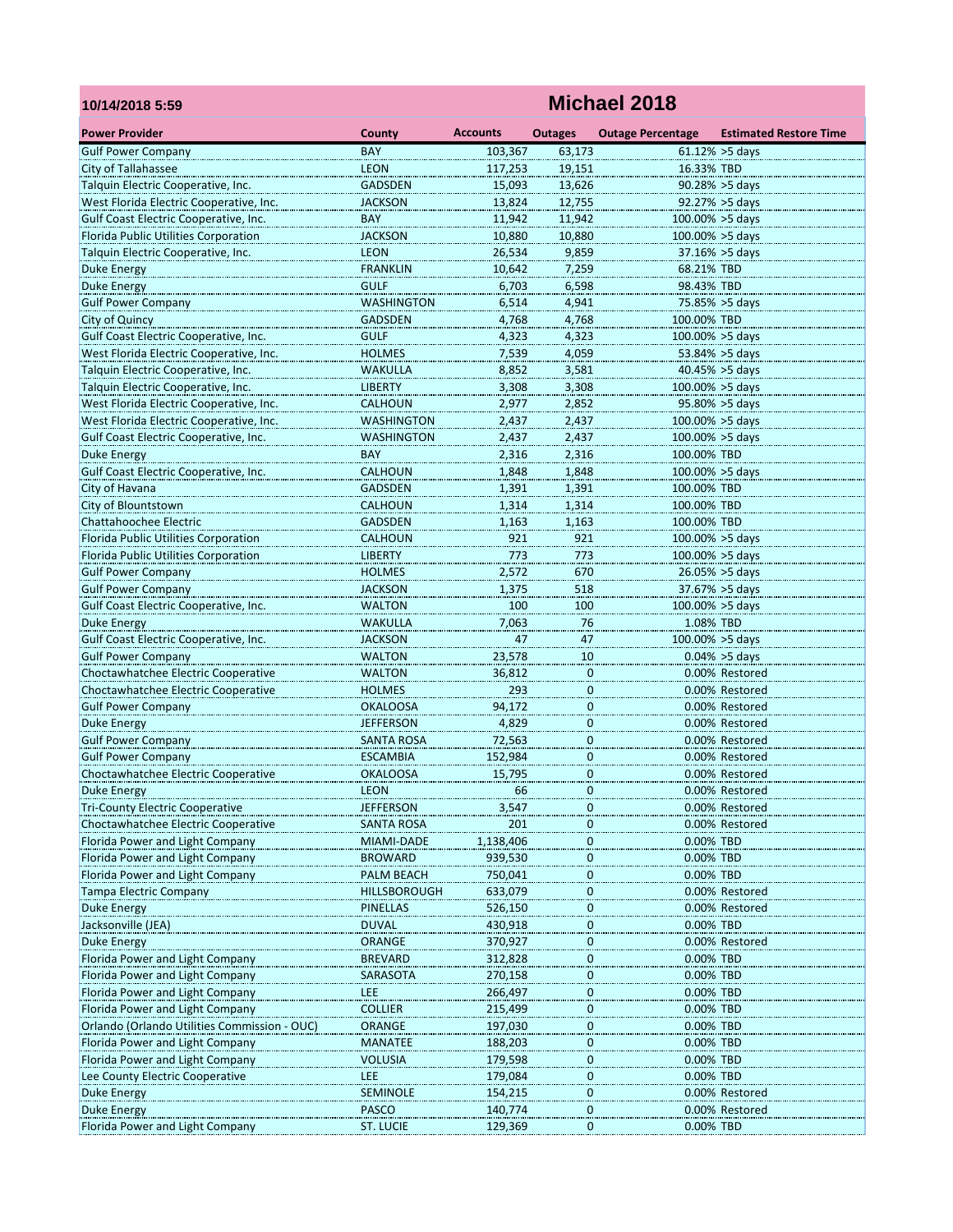| 10/14/2018 5:59                                                   | <b>Michael 2018</b>              |                 |                  |                          |                                   |  |  |  |
|-------------------------------------------------------------------|----------------------------------|-----------------|------------------|--------------------------|-----------------------------------|--|--|--|
| <b>Power Provider</b>                                             | County                           | <b>Accounts</b> | <b>Outages</b>   | <b>Outage Percentage</b> | <b>Estimated Restore Time</b>     |  |  |  |
| <b>Gulf Power Company</b>                                         | <b>BAY</b>                       | 103,367         | 63,173           |                          | $61.12\% > 5$ days                |  |  |  |
| City of Tallahassee                                               | <b>LEON</b>                      | 117.253         | 19,151           | 16.33% TBD               |                                   |  |  |  |
| Talquin Electric Cooperative, Inc.                                | <b>GADSDEN</b>                   | 15,093          | 13,626           |                          | $90.28\% > 5$ days                |  |  |  |
| West Florida Electric Cooperative, Inc.                           | <b>JACKSON</b>                   | 13,824          | 12,755           |                          | 92.27% > 5days                    |  |  |  |
| Gulf Coast Electric Cooperative, Inc.                             | <b>BAY</b>                       | 11,942          | 11,942           | 100.00% > 5days          |                                   |  |  |  |
| Florida Public Utilities Corporation                              | <b>JACKSON</b>                   | 10,880          | 10,880           | 100.00% >5 days          |                                   |  |  |  |
| Talquin Electric Cooperative, Inc.                                | <b>LEON</b>                      | 26,534          | 9,859            |                          | $37.16\% > 5$ days                |  |  |  |
| Duke Energy                                                       | <b>FRANKLIN</b>                  | 10,642          | 7,259            | 68.21% TBD               |                                   |  |  |  |
| <b>Duke Energy</b>                                                | <b>GULF</b>                      | 6,703           | 6,598            | 98.43% TBD               |                                   |  |  |  |
| <b>Gulf Power Company</b>                                         | WASHINGTON                       | 6,514           | 4,941            |                          | 75.85% > 5days                    |  |  |  |
| City of Quincy                                                    | <b>GADSDEN</b>                   | 4,768           | 4,768            | 100.00% TBD              |                                   |  |  |  |
| Gulf Coast Electric Cooperative, Inc.                             | <b>GULF</b>                      | 4,323           | 4,323            | 100.00% > 5days          |                                   |  |  |  |
| West Florida Electric Cooperative, Inc.                           | <b>HOLMES</b>                    | 7,539           | 4,059            |                          | 53.84% > 5days                    |  |  |  |
| Talquin Electric Cooperative, Inc.                                | WAKULLA                          | 8,852           | 3,581            |                          | $40.45\% > 5$ days                |  |  |  |
| Talquin Electric Cooperative, Inc.                                | <b>LIBERTY</b>                   | 3,308           | 3,308            | 100.00% > 5days          |                                   |  |  |  |
| West Florida Electric Cooperative, Inc.                           | CALHOUN                          | 2,977           | 2,852            |                          | 95.80% > 5days                    |  |  |  |
| West Florida Electric Cooperative, Inc.                           | <b>WASHINGTON</b>                | 2,437           | 2.437            | $100.00\% > 5$ days      |                                   |  |  |  |
| Gulf Coast Electric Cooperative, Inc.                             | <b>WASHINGTON</b>                | 2,437           | 2,437            | 100.00% > 5days          |                                   |  |  |  |
| <b>Duke Energy</b>                                                | <b>BAY</b>                       | 2,316           | 2,316            | 100.00% TBD              |                                   |  |  |  |
| Gulf Coast Electric Cooperative, Inc.                             | <b>CALHOUN</b>                   | 1,848           | 1,848            | 100.00% >5 days          |                                   |  |  |  |
| City of Havana                                                    | <b>GADSDEN</b>                   | 1,391           | 1,391            | 100.00% TBD              |                                   |  |  |  |
| City of Blountstown                                               | <b>CALHOUN</b>                   | 1,314           | 1,314            | 100.00% TBD              |                                   |  |  |  |
| Chattahoochee Electric                                            | <b>GADSDEN</b><br><b>CALHOUN</b> | 1,163<br>921    | 1,163<br>921     | 100.00% TBD              |                                   |  |  |  |
| Florida Public Utilities Corporation                              |                                  |                 |                  | 100.00% > 5days          |                                   |  |  |  |
| Florida Public Utilities Corporation<br><b>Gulf Power Company</b> | <b>LIBERTY</b><br><b>HOLMES</b>  | 773<br>2,572    | 773<br>670       |                          | 100.00% > 5days<br>26.05% > 5days |  |  |  |
| <b>Gulf Power Company</b>                                         | <b>JACKSON</b>                   | 1,375           | 518              |                          | 37.67% > 5days                    |  |  |  |
| Gulf Coast Electric Cooperative, Inc.                             | <b>WALTON</b>                    | 100             | 100              | 100.00% > 5days          |                                   |  |  |  |
| <b>Duke Energy</b>                                                | <b>WAKULLA</b>                   | 7,063           | 76               | 1.08% TBD                |                                   |  |  |  |
| Gulf Coast Electric Cooperative, Inc.                             | JACKSON                          | 47              | 47               | 100.00% > 5days          |                                   |  |  |  |
| <b>Gulf Power Company</b>                                         | <b>WALTON</b>                    | 23,578          | 10               |                          | $0.04\% > 5$ days                 |  |  |  |
| Choctawhatchee Electric Cooperative                               | <b>WALTON</b>                    | 36,812          | $\overline{0}$   |                          | 0.00% Restored                    |  |  |  |
| Choctawhatchee Electric Cooperative                               | <b>HOLMES</b>                    | 293             | $\mathbf{0}$     |                          | 0.00% Restored                    |  |  |  |
| <b>Gulf Power Company</b>                                         | <b>OKALOOSA</b>                  | 94,172          | $\mathbf 0$      |                          | 0.00% Restored                    |  |  |  |
| Duke Energy                                                       | <b>JEFFERSON</b>                 | 4,829           | 0                |                          | 0.00% Restored                    |  |  |  |
| <b>Gulf Power Company</b>                                         | <b>SANTA ROSA</b>                | 72,563          | $\bf{0}$         |                          | 0.00% Restored                    |  |  |  |
| <b>Gulf Power Company</b>                                         | <b>ESCAMBIA</b>                  | 152,984         | $\mathbf 0$      |                          | 0.00% Restored                    |  |  |  |
| Choctawhatchee Electric Cooperative                               | <b>OKALOOSA</b>                  | 15,795          | $\bf{0}$         |                          | 0.00% Restored                    |  |  |  |
| <b>Duke Energy</b>                                                | LEON                             | 66              | $\bf{0}$         |                          | 0.00% Restored                    |  |  |  |
| <b>Tri-County Electric Cooperative</b>                            | <b>JEFFERSON</b>                 | 3,547           | $\mathbf 0$      |                          | 0.00% Restored                    |  |  |  |
| Choctawhatchee Electric Cooperative                               | <b>SANTA ROSA</b>                | 201             | $\overline{0}$   |                          | 0.00% Restored                    |  |  |  |
| Florida Power and Light Company                                   | MIAMI-DADE                       | 1,138,406       | $\bf{0}$         | 0.00% TBD                |                                   |  |  |  |
| Florida Power and Light Company                                   | <b>BROWARD</b>                   | 939,530         | $\bf{0}$         | 0.00% TBD                |                                   |  |  |  |
| Florida Power and Light Company                                   | PALM BEACH                       | 750,041         | $\bf{0}$         | 0.00% TBD                |                                   |  |  |  |
| <b>Tampa Electric Company</b>                                     | <b>HILLSBOROUGH</b>              | 633,079         | $\boldsymbol{0}$ |                          | 0.00% Restored                    |  |  |  |
| <b>Duke Energy</b>                                                | <b>PINELLAS</b>                  | 526,150         | $\overline{0}$   |                          | 0.00% Restored                    |  |  |  |
| Jacksonville (JEA)                                                | <b>DUVAL</b>                     | 430,918         | $\bf{0}$         | 0.00% TBD                |                                   |  |  |  |
| <b>Duke Energy</b>                                                | <b>ORANGE</b>                    | 370,927         | $\bf{0}$         |                          | 0.00% Restored                    |  |  |  |
| Florida Power and Light Company                                   | <b>BREVARD</b>                   | 312,828         | $\boldsymbol{0}$ | 0.00% TBD                |                                   |  |  |  |
| Florida Power and Light Company                                   | SARASOTA                         | 270,158         | $\boldsymbol{0}$ | 0.00% TBD                |                                   |  |  |  |
| Florida Power and Light Company                                   | LEE                              | 266,497         | $\overline{0}$   | 0.00% TBD                |                                   |  |  |  |
| Florida Power and Light Company                                   | <b>COLLIER</b>                   | 215,499         | $\bf{0}$         | 0.00% TBD                |                                   |  |  |  |
| Orlando (Orlando Utilities Commission - OUC)                      | <b>ORANGE</b>                    | 197,030         | $\overline{0}$   | 0.00% TBD                |                                   |  |  |  |
| Florida Power and Light Company                                   | <b>MANATEE</b>                   | 188,203         | $\boldsymbol{0}$ | 0.00% TBD                |                                   |  |  |  |
| Florida Power and Light Company                                   | <b>VOLUSIA</b>                   | 179,598         | $\boldsymbol{0}$ | 0.00% TBD                |                                   |  |  |  |
| Lee County Electric Cooperative                                   | LEE                              | 179,084         | $\overline{0}$   | 0.00% TBD                |                                   |  |  |  |
| <b>Duke Energy</b>                                                | <b>SEMINOLE</b>                  | 154,215         | $\bf{0}$         |                          | 0.00% Restored                    |  |  |  |
| <b>Duke Energy</b>                                                | PASCO                            | 140,774         | $\mathbf 0$      |                          | 0.00% Restored                    |  |  |  |
| Florida Power and Light Company                                   | <b>ST. LUCIE</b>                 | 129,369         | 0                | 0.00% TBD                |                                   |  |  |  |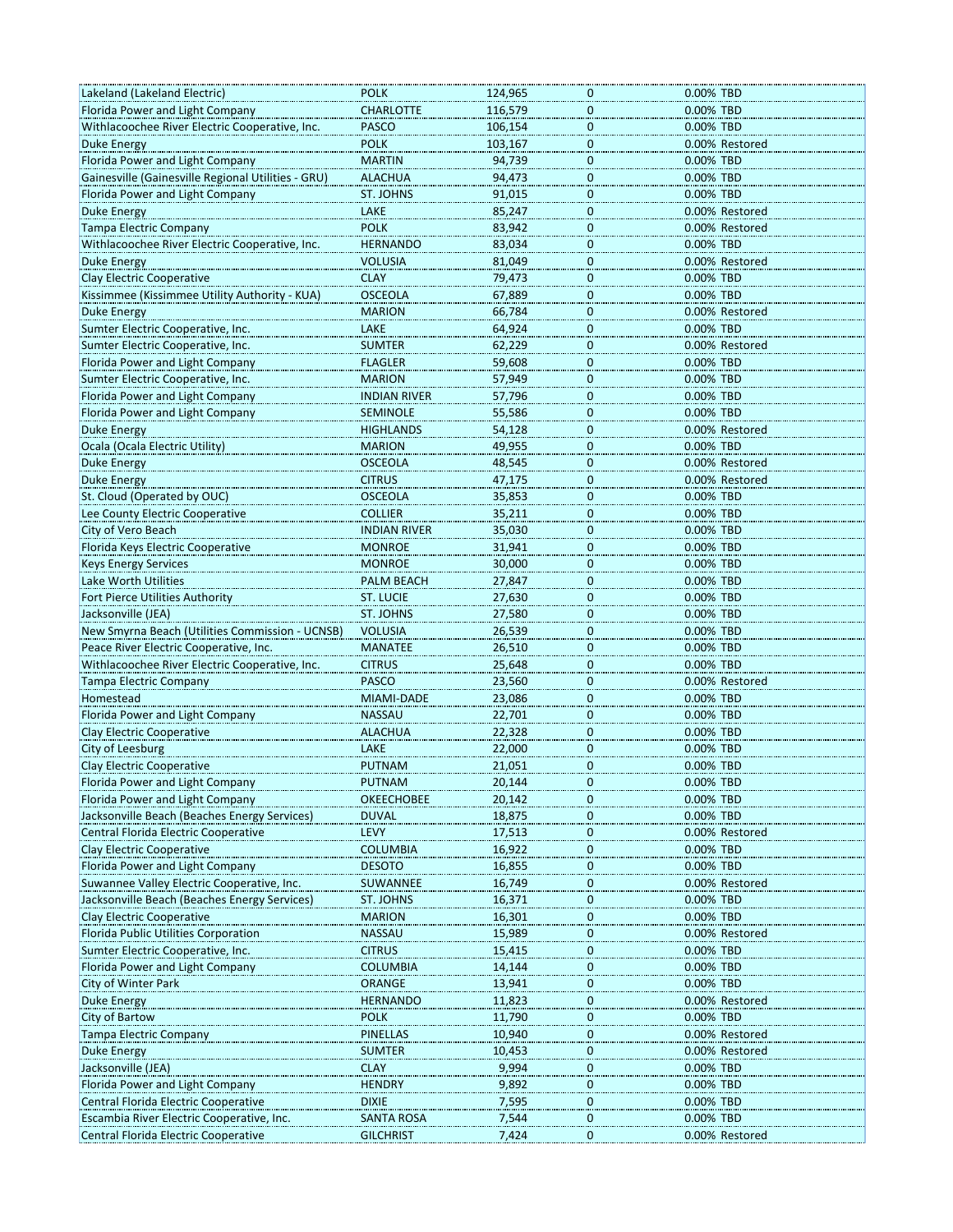| Lakeland (Lakeland Electric)                                                      | <b>POLK</b>                    | 124,965        | 0                       | 0.00% TBD                   |
|-----------------------------------------------------------------------------------|--------------------------------|----------------|-------------------------|-----------------------------|
| Florida Power and Light Company                                                   | <b>CHARLOTTE</b>               | 116,579        | 0                       | 0.00% TBD                   |
| Withlacoochee River Electric Cooperative, Inc.                                    | <b>PASCO</b>                   | 106,154        | $\mathbf 0$             | 0.00% TBD                   |
| Duke Energy                                                                       | <b>POLK</b>                    | 103,167        | $\mathbf 0$             | 0.00% Restored              |
| Florida Power and Light Company                                                   | <b>MARTIN</b>                  | 94,739         | $\pmb{0}$               | 0.00% TBD                   |
| Gainesville (Gainesville Regional Utilities - GRU)                                | <b>ALACHUA</b>                 | 94,473         | 0                       | 0.00% TBD                   |
| Florida Power and Light Company                                                   | ST. JOHNS                      | 91,015         | 0                       | 0.00% TBD                   |
| <b>Duke Energy</b>                                                                | LAKE                           | 85,247         | $\mathbf{0}$            | 0.00% Restored              |
| Tampa Electric Company                                                            | <b>POLK</b>                    | 83,942         | $\mathbf 0$             | 0.00% Restored              |
| Withlacoochee River Electric Cooperative, Inc.                                    | <b>HERNANDO</b>                | 83,034         | $\pmb{0}$               | 0.00% TBD                   |
| <b>Duke Energy</b>                                                                |                                | 81,049         | 0                       | 0.00% Restored              |
|                                                                                   | VOLUSIA                        |                |                         |                             |
| <b>Clay Electric Cooperative</b>                                                  | <b>CLAY</b>                    | 79,473         | 0                       | 0.00% TBD                   |
| Kissimmee (Kissimmee Utility Authority - KUA)                                     | <b>OSCEOLA</b>                 | 67,889         | 0                       | 0.00% TBD                   |
| <b>Duke Energy</b>                                                                | <b>MARION</b>                  | 66,784         | $\mathbf 0$             | 0.00% Restored              |
| Sumter Electric Cooperative, Inc.                                                 | LAKE                           | 64,924         | $\mathbf 0$             | 0.00% TBD                   |
| Sumter Electric Cooperative, Inc.                                                 | <b>SUMTER</b>                  | 62,229         | 0                       | 0.00% Restored              |
| Florida Power and Light Company                                                   | <b>FLAGLER</b>                 | 59,608         | 0                       | 0.00% TBD                   |
| Sumter Electric Cooperative, Inc.                                                 | <b>MARION</b>                  | 57,949         | $\mathbf 0$             | 0.00% TBD                   |
| Florida Power and Light Company                                                   | <b>INDIAN RIVER</b>            | 57,796         | $\mathbf{0}$            | 0.00% TBD                   |
| Florida Power and Light Company                                                   | <b>SEMINOLE</b>                | 55,586         | $\mathbf 0$             | 0.00% TBD                   |
| Duke Energy                                                                       | <b>HIGHLANDS</b>               | 54,128         | 0                       | 0.00% Restored              |
| Ocala (Ocala Electric Utility)                                                    | <b>MARION</b>                  | 49,955         | $\overline{0}$          | 0.00% TBD                   |
| Duke Energy                                                                       | <b>OSCEOLA</b>                 | 48,545         | $\overline{\mathbf{0}}$ | 0.00% Restored              |
| <b>Duke Energy</b>                                                                | <b>CITRUS</b>                  | 47,175         | $\mathbf 0$             | 0.00% Restored              |
| St. Cloud (Operated by OUC)                                                       | <b>OSCEOLA</b>                 | 35,853         | $\mathbf 0$             | 0.00% TBD                   |
| Lee County Electric Cooperative                                                   | <b>COLLIER</b>                 | 35,211         | 0                       | 0.00% TBD                   |
|                                                                                   |                                |                |                         |                             |
| City of Vero Beach                                                                | <b>INDIAN RIVER</b>            | 35,030         | $\overline{0}$          | 0.00% TBD                   |
| Florida Keys Electric Cooperative                                                 | <b>MONROE</b>                  | 31,941         | $\mathbf{0}$            | 0.00% TBD                   |
| <b>Keys Energy Services</b>                                                       | <b>MONROE</b>                  | 30,000         | $\mathbf 0$             | 0.00% TBD                   |
| Lake Worth Utilities                                                              | PALM BEACH                     | 27,847         | $\mathbf 0$             | 0.00% TBD                   |
| Fort Pierce Utilities Authority                                                   | ST. LUCIE                      | 27,630         | 0                       | 0.00% TBD                   |
| Jacksonville (JEA)                                                                | ST. JOHNS                      | 27,580         | $\overline{\mathbf{0}}$ | 0.00% TBD                   |
| New Smyrna Beach (Utilities Commission - UCNSB)                                   | <b>VOLUSIA</b>                 | 26,539         | $\overline{0}$          | 0.00% TBD                   |
| Peace River Electric Cooperative, Inc.                                            | <b>MANATEE</b>                 | 26,510         | $\mathbf 0$             | 0.00% TBD                   |
| Withlacoochee River Electric Cooperative, Inc.                                    | <b>CITRUS</b>                  | 25,648         | $\mathbf 0$             | 0.00% TBD                   |
| <b>Tampa Electric Company</b>                                                     | <b>PASCO</b>                   | 23,560         | 0                       | 0.00% Restored              |
| Homestead                                                                         | MIAMI-DADE                     | 23,086         | $\overline{0}$          | 0.00% TBD                   |
| Florida Power and Light Company                                                   | <b>NASSAU</b>                  | 22,701         | $\overline{\mathbf{0}}$ | 0.00% TBD                   |
| <b>Clay Electric Cooperative</b>                                                  | <b>ALACHUA</b>                 | 22,328         | $\mathbf{0}$            | 0.00% TBD                   |
| City of Leesburg                                                                  | LAKE                           | 22,000         | $\mathbf 0$             | 0.00% TBD                   |
| Clay Electric Cooperative                                                         | <b>PUTNAM</b>                  | 21,051         | 0                       | 0.00% TBD                   |
|                                                                                   |                                |                |                         |                             |
| Florida Power and Light Company                                                   | PUTNAM                         | 20,144         | o                       | 0.00% TBD                   |
| Florida Power and Light Company                                                   | <b>OKEECHOBEE</b>              | 20,142         | $\overline{0}$          | 0.00% TBD                   |
| Jacksonville Beach (Beaches Energy Services)                                      | <b>DUVAL</b>                   | 18,875         | 0                       | 0.00% TBD                   |
| Central Florida Electric Cooperative                                              | LEVY                           | 17,513         | 0                       | 0.00% Restored              |
| Clay Electric Cooperative                                                         | <b>COLUMBIA</b>                | 16,922         | 0                       | 0.00% TBD                   |
| Florida Power and Light Company                                                   | <b>DESOTO</b>                  | 16,855         | $\overline{0}$          | 0.00% TBD                   |
| Suwannee Valley Electric Cooperative, Inc.                                        | SUWANNEE                       | 16,749         | $\overline{0}$          | 0.00% Restored              |
| Jacksonville Beach (Beaches Energy Services)                                      | ST. JOHNS                      | 16,371         | $\pmb{0}$               | 0.00% TBD                   |
| Clay Electric Cooperative                                                         | <b>MARION</b>                  | 16,301         | 0                       | 0.00% TBD                   |
| Florida Public Utilities Corporation                                              | <b>NASSAU</b>                  | 15,989         | 0                       | 0.00% Restored              |
| Sumter Electric Cooperative, Inc.                                                 | <b>CITRUS</b>                  | 15,415         | $\overline{0}$          | 0.00% TBD                   |
| Florida Power and Light Company                                                   | <b>COLUMBIA</b>                | 14,144         | $\overline{0}$          | 0.00% TBD                   |
| City of Winter Park                                                               | <b>ORANGE</b>                  | 13,941         | $\pmb{0}$               | 0.00% TBD                   |
| Duke Energy                                                                       | <b>HERNANDO</b>                | 11,823         | 0                       | 0.00% Restored              |
| City of Bartow                                                                    | <b>POLK</b>                    | 11,790         | 0                       | 0.00% TBD                   |
| <b>Tampa Electric Company</b>                                                     | PINELLAS                       | 10,940         |                         | 0.00% Restored              |
|                                                                                   |                                |                | $\overline{0}$          |                             |
| <b>Duke Energy</b>                                                                | <b>SUMTER</b>                  | 10,453         | 0                       | 0.00% Restored              |
| Jacksonville (JEA)                                                                | <b>CLAY</b>                    | 9,994          | $\pmb{0}$               | 0.00% TBD                   |
| Florida Power and Light Company                                                   | <b>HENDRY</b>                  | 9,892          | 0                       | 0.00% TBD                   |
|                                                                                   |                                |                |                         |                             |
| Central Florida Electric Cooperative                                              | <b>DIXIE</b>                   | 7,595          | 0                       | 0.00% TBD                   |
| Escambia River Electric Cooperative, Inc.<br>Central Florida Electric Cooperative | SANTA ROSA<br><b>GILCHRIST</b> | 7,544<br>7,424 | $\overline{0}$<br>0     | 0.00% TBD<br>0.00% Restored |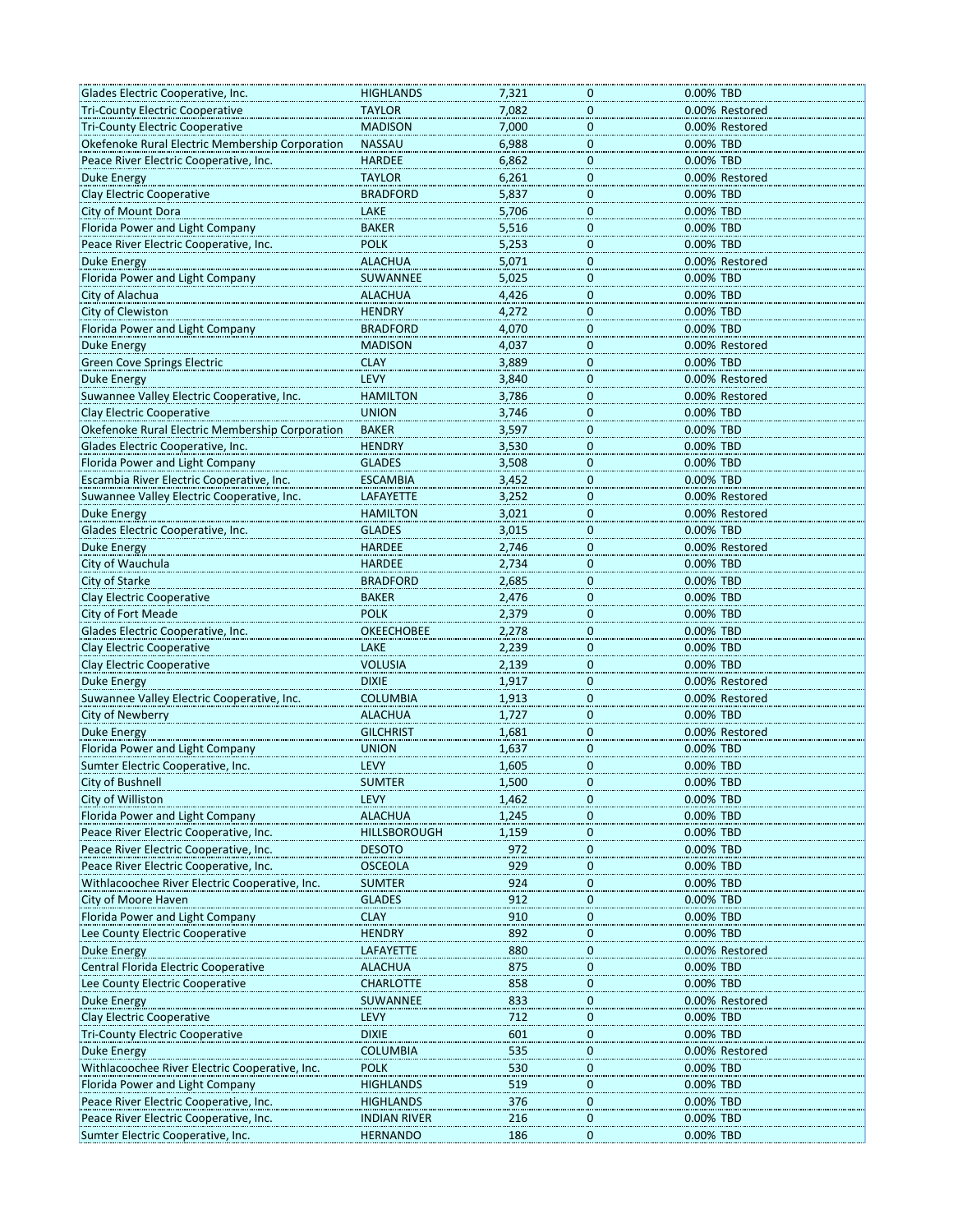| Glades Electric Cooperative, Inc.                                            | <b>HIGHLANDS</b>    | 7,321          | 0                           | 0.00% TBD              |
|------------------------------------------------------------------------------|---------------------|----------------|-----------------------------|------------------------|
| <b>Tri-County Electric Cooperative</b>                                       | <b>TAYLOR</b>       | 7,082          | 0                           | 0.00% Restored         |
| <b>Tri-County Electric Cooperative</b>                                       | <b>MADISON</b>      | 7,000          | $\mathbf 0$                 | 0.00% Restored         |
| Okefenoke Rural Electric Membership Corporation                              | <b>NASSAU</b>       | 6,988          | $\mathbf 0$                 | 0.00% TBD              |
| Peace River Electric Cooperative, Inc.                                       | <b>HARDEE</b>       | 6,862          | $\overline{0}$              | 0.00% TBD              |
| Duke Energy                                                                  | <b>TAYLOR</b>       | 6,261          | 0                           | 0.00% Restored         |
| Clay Electric Cooperative                                                    | <b>BRADFORD</b>     | 5,837          | $\overline{0}$              | 0.00% TBD              |
| City of Mount Dora                                                           | LAKE                | 5,706          | $\mathbf 0$                 | 0.00% TBD              |
| Florida Power and Light Company                                              | <b>BAKER</b>        | 5,516          | $\mathbf 0$                 | 0.00% TBD              |
| Peace River Electric Cooperative, Inc.                                       | <b>POLK</b>         | 5,253          | $\overline{0}$              | 0.00% TBD              |
| Duke Energy                                                                  | <b>ALACHUA</b>      | 5,071          | 0                           | 0.00% Restored         |
| Florida Power and Light Company                                              | SUWANNEE            | 5,025          | $\overline{0}$              | 0.00% TBD              |
| City of Alachua                                                              | <b>ALACHUA</b>      | 4,426          | 0                           | 0.00% TBD              |
| City of Clewiston                                                            | <b>HENDRY</b>       | 4,272          | $\mathbf 0$                 | 0.00% TBD              |
| Florida Power and Light Company                                              | <b>BRADFORD</b>     | 4,070          | $\overline{0}$              | 0.00% TBD              |
| <b>Duke Energy</b>                                                           | <b>MADISON</b>      | 4,037          | 0                           | 0.00% Restored         |
| <b>Green Cove Springs Electric</b>                                           | <b>CLAY</b>         | 3,889          |                             | 0.00% TBD              |
| <b>Duke Energy</b>                                                           | LEVY                | 3,840          | $\bf{0}$<br>0               | 0.00% Restored         |
| Suwannee Valley Electric Cooperative, Inc.                                   | <b>HAMILTON</b>     | 3,786          | $\mathbf 0$                 | 0.00% Restored         |
| <b>Clay Electric Cooperative</b>                                             | <b>UNION</b>        | 3,746          |                             | 0.00% TBD              |
| Okefenoke Rural Electric Membership Corporation                              | <b>BAKER</b>        | 3,597          | $\overline{0}$<br>0         |                        |
| Glades Electric Cooperative, Inc.                                            | <b>HENDRY</b>       | 3,530          |                             | 0.00% TBD<br>0.00% TBD |
|                                                                              | <b>GLADES</b>       |                | $\overline{0}$              | 0.00% TBD              |
| Florida Power and Light Company<br>Escambia River Electric Cooperative, Inc. | <b>ESCAMBIA</b>     | 3,508<br>3,452 | $\mathbf{0}$<br>$\mathbf 0$ | 0.00% TBD              |
|                                                                              |                     |                |                             |                        |
| Suwannee Valley Electric Cooperative, Inc.                                   | LAFAYETTE           | 3,252          | $\overline{0}$              | 0.00% Restored         |
| <b>Duke Energy</b>                                                           | <b>HAMILTON</b>     | 3,021          | 0                           | 0.00% Restored         |
| Glades Electric Cooperative, Inc.                                            | <b>GLADES</b>       | 3,015          | $\overline{0}$              | 0.00% TBD              |
| <b>Duke Energy</b>                                                           | <b>HARDEE</b>       | 2,746          | $\mathbf 0$                 | 0.00% Restored         |
| City of Wauchula                                                             | <b>HARDEE</b>       | 2,734          | $\mathbf 0$                 | 0.00% TBD              |
| City of Starke                                                               | <b>BRADFORD</b>     | 2,685          | $\overline{0}$              | 0.00% TBD              |
| Clay Electric Cooperative                                                    | <b>BAKER</b>        | 2,476          | 0                           | 0.00% TBD              |
| City of Fort Meade                                                           | <b>POLK</b>         | 2,379          | $\overline{0}$              | 0.00% TBD              |
| Glades Electric Cooperative, Inc.                                            | <b>OKEECHOBEE</b>   | 2,278          | $\boldsymbol{0}$            | 0.00% TBD              |
| Clay Electric Cooperative                                                    | LAKE                | 2,239          | $\mathbf 0$                 | 0.00% TBD              |
| <b>Clay Electric Cooperative</b>                                             | <b>VOLUSIA</b>      | 2,139          | $\overline{0}$              | 0.00% TBD              |
| <b>Duke Energy</b>                                                           | <b>DIXIE</b>        | 1,917          | 0                           | 0.00% Restored         |
| Suwannee Valley Electric Cooperative, Inc.                                   | <b>COLUMBIA</b>     | 1,913          | $\bf{0}$                    | 0.00% Restored         |
| City of Newberry                                                             | <b>ALACHUA</b>      | 1,727          | $\mathbf{0}$                | 0.00% TBD              |
| <b>Duke Energy</b>                                                           | <b>GILCHRIST</b>    | 1,681          | $\mathbf 0$                 | 0.00% Restored         |
| Florida Power and Light Company                                              | <b>UNION</b>        | 1,637          | $\bf{0}$                    | 0.00% TBD              |
| Sumter Electric Cooperative, Inc.                                            | LEVY                | 1,605          | 0                           | 0.00% TBD              |
| City of Bushnell                                                             | SUMIER              | 1,500          | U                           | 0.00% IBD              |
| City of Williston                                                            | LEVY                | 1,462          | $\bf{0}$                    | 0.00% TBD              |
| Florida Power and Light Company                                              | <b>ALACHUA</b>      | 1,245          | $\overline{0}$              | 0.00% TBD              |
| Peace River Electric Cooperative, Inc.                                       | <b>HILLSBOROUGH</b> | 1,159          | $\overline{0}$              | 0.00% TBD              |
| Peace River Electric Cooperative, Inc.                                       | <b>DESOTO</b>       | 972            | $\bf{0}$                    | 0.00% TBD              |
| Peace River Electric Cooperative, Inc.                                       | <b>OSCEOLA</b>      | 929            | $\bf{0}$                    | 0.00% TBD              |
| Withlacoochee River Electric Cooperative, Inc.                               | <b>SUMTER</b>       | 924            | $\overline{0}$              | 0.00% TBD              |
| City of Moore Haven                                                          | <b>GLADES</b>       | 912            | $\overline{0}$              | 0.00% TBD              |
| Florida Power and Light Company                                              | <b>CLAY</b>         | 910            | $\pmb{0}$                   | 0.00% TBD              |
| Lee County Electric Cooperative                                              | <b>HENDRY</b>       | 892            | 0                           | 0.00% TBD              |
| Duke Energy                                                                  | LAFAYETTE           | 880            | $\bf{0}$                    | 0.00% Restored         |
| Central Florida Electric Cooperative                                         | <b>ALACHUA</b>      | 875            | $\boldsymbol{0}$            | 0.00% TBD              |
| Lee County Electric Cooperative                                              | <b>CHARLOTTE</b>    | 858            | $\bf{0}$                    | 0.00% TBD              |
| Duke Energy                                                                  | SUWANNEE            | 833            | $\bf{0}$                    | 0.00% Restored         |
| Clay Electric Cooperative                                                    | LEVY                | 712            | 0                           | 0.00% TBD              |
| <b>Tri-County Electric Cooperative</b>                                       | <b>DIXIE</b>        | 601            | $\boldsymbol{0}$            | 0.00% TBD              |
| <b>Duke Energy</b>                                                           | <b>COLUMBIA</b>     | 535            | $\overline{0}$              | 0.00% Restored         |
| Withlacoochee River Electric Cooperative, Inc.                               | <b>POLK</b>         | 530            | $\bf{0}$                    | 0.00% TBD              |
| Florida Power and Light Company                                              | <b>HIGHLANDS</b>    | 519            | $\bf{0}$                    | 0.00% TBD              |
| Peace River Electric Cooperative, Inc.                                       | <b>HIGHLANDS</b>    | 376            | 0                           | 0.00% TBD              |
| Peace River Electric Cooperative, Inc.                                       | <b>INDIAN RIVER</b> | 216            | 0                           | 0.00% TBD              |
| Sumter Electric Cooperative, Inc.                                            | <b>HERNANDO</b>     | 186            | 0                           | 0.00% TBD              |